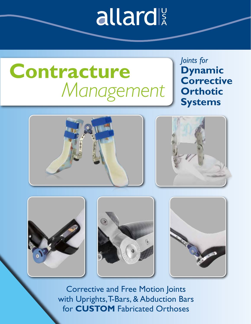# allard

## **Contracture** *Management*

## *Joints for* **Dynamic Corrective Orthotic Systems**









Corrective and Free Motion Joints with Uprights, T-Bars, & Abduction Bars for **CUSTOM** Fabricated Orthoses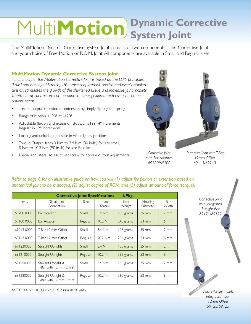## **Dynamic Corrective** Multi**Motion System Joint**

The MultiMotion Dynamic Corrective System Joint consists of two components – the Corrective Joint and your choice of Free Motion or R.O.M. Joint. All components are available in Small and Regular sizes.

### **MultiMotion Dynamic Corrective System Joint**

*Functionality of the MultiMotion Corrective Joint is based on the LLPS principles (Low Load Prolonged Stretch). This process of gradual, precise and evenly applied tension, stimulates the growth of the shortened tissue and increases joint mobility. Treatment of contracture can be done in either flexion or extension, based on patient needs.*

- Torque output in flexion or extension by simply flipping the spring
- Range of Motion +120° to -120°
- Adjustable flexion and extension stops: Small in 14° increments, Regular in 12° increments
- Locking and unlocking possible in virtually any position
- Torque Output; from 0 Nm to 3.4 Nm (30 in-lb) for size small, 0 Nm to 10.2 Nm (90 in-lb) for size Regular
- Medial and lateral access to set screw for torque output adjustments



*Corrective Joint with Bar Adapter 69100/69200*

*Corrective Joint with T-Bar, 12mm Offset 69113/69213*

## *Refer to page 6 for an illustrative guide on how you will (1) adjust for flexion or extension based on anatomical joint to be managed, (2) adjust degree of ROM, and (3) adjust amount of force (torque).*

|            | <b>Corrective Joint Specifications</b><br>1/Pkg. |         |               |                        |                     |                 |  |  |  |
|------------|--------------------------------------------------|---------|---------------|------------------------|---------------------|-----------------|--|--|--|
| Item $#$   | Distal Joint<br>Connection                       | Size    | Max<br>Torque | <b>loint</b><br>Weight | Housing<br>Diameter | Bar<br>Width    |  |  |  |
| 69200 0000 | Bar Adapter                                      | Small   | 3.4 Nm        | 100 grams              | $35 \text{ mm}$     | $12 \text{ mm}$ |  |  |  |
| 691000000  | <b>Bar Adapter</b>                               | Regular | 10.2 Nm       | 240 grams              | $53 \, \text{mm}$   | $16$ mm         |  |  |  |
| 69213 0000 | T-Bar 12 mm Offset                               | Small   | 3.4 Nm        | 123 grams              | 35 mm               | $12 \text{ mm}$ |  |  |  |
| 691130000  | T-Bar 12 mm Offset                               | Regular | 10.2 Nm       | 284 grams              | 53 mm               | 16 mm           |  |  |  |
| 691220000  | Straight Uprights                                | Small   | 3.4 Nm        | 155 grams              | $35 \text{ mm}$     | $12 \text{ mm}$ |  |  |  |
| 691210000  | Straight Uprights                                | Regular | $10.2$ Nm     | 395 grams              | $53 \, \text{mm}$   | 16 mm           |  |  |  |
| 691250000  | Straight Upright &<br>T-Bar with 12 mm Offset    | Small   | 3.4 Nm        | 150 grams              | $35 \, \text{mm}$   | $12 \text{ mm}$ |  |  |  |
| 691230000  | Straight Upright &<br>T-Bar with 12 mm Offset    | Regular | 10.2 Nm       | 360 grams              | 53 mm               | $16 \text{ mm}$ |  |  |  |

*Corrective Joint with Integrated Straight Bar 69121/69122*

> *Corrective Joint with Integrated T-Bar 12mm Offset 69123/69125*

*NOTE: 3.4 Nm = 30 in-lb / 10.2 Nm = 90 in-lb*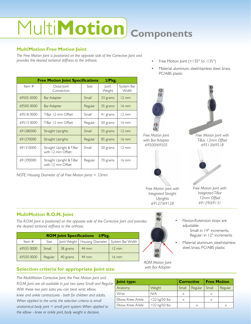## Multi**Motion Components**

### **MultiMotion Free Motion Joint**

*The Free Motion Joint is positioned on the opposite side of the Corrective Joint and*  provides the desired tortional stiffness to the orthosis.  $\bullet$  Free Motion Joint (+135° to -135°)

|            | <b>Free Motion Joint Specifications</b>       |             | 1/Pkg.          |                     |
|------------|-----------------------------------------------|-------------|-----------------|---------------------|
| Item $#$   | Distal Joint<br>Connection                    | <b>Size</b> | loint<br>Weight | System Bar<br>Width |
| 69505 0000 | <b>Bar Adapter</b>                            | Small       | 33 grams        | $12 \text{ mm}$     |
| 69500 0000 | <b>Bar Adapter</b>                            | Regular     | 35 grams        | $16 \text{ mm}$     |
| 695180000  | T-Bar 12 mm Offset                            | Small       | 41 grams        | $12 \text{ mm}$     |
| 695130000  | T-Bar 12 mm Offset                            | Regular     | 50 grams        | $16 \text{ mm}$     |
| 691280000  | Straight Uprights                             | Small       | 55 grams        | $12 \text{ mm}$     |
| 691270000  | Straight Uprights                             | Regular     | 85 grams        | $16 \text{ mm}$     |
| 691310000  | Straight Upright & T-Bar<br>with 12 mm Offset | Small       | 50 grams        | $12 \text{ mm}$     |
| 691290000  | Straight Upright & T-Bar<br>with 12 mm Offset | Regular     | 70 grams        | $16 \text{ mm}$     |

*NOTE: Housing Diameter of all Free Motion Joints = 33mm*

- 
- Material: aluminum, steel/stainless steel, brass, PC/ABS plastic



## **MultiMotion R.O.M. Joint**

*The R.O.M. Joint is positioned on the opposite side of the Corrective Joint and provides the desired tortional stiffness to the orthosis.* 

| <b>ROM Joint Specifications 1/Pkg.</b> |         |          |                                 |                  |  |  |  |  |
|----------------------------------------|---------|----------|---------------------------------|------------------|--|--|--|--|
| Item $#$                               | Size    |          | Joint Weight   Housing Diameter | System Bar Width |  |  |  |  |
| 69555 0000                             | Small   | 38 grams | 44 mm                           | $12 \text{ mm}$  |  |  |  |  |
| 69550 0000                             | Regular |          | 44 mm                           | $16 \text{ mm}$  |  |  |  |  |

## **Selection criteria for appropriate Joint size**

*The MultiMotion Corrective Joint, the Free Motion Joint and R.O.M. Joint are all available in just two sizes: Small and Regular. With these two joint sizes you can treat wrist, elbow, knee and ankle contractures - both for children and adults. When applied to the wrist, the selection criteria is: small anatomical body joint = small joint system. When applied to the elbow - knee or ankle joint, body weight is decisive.*



Flexion/Extension stops are adjustable: Small: in 14° increments, Regular: in 12° increments

• Material: aluminum, steel/stainless steel, brass, PC/ABS plastic

*ROM Motion Joint with Bar Adapter*

| Joint type:        |                   | <b>Corrective</b> |         | <b>Free Motion</b> |         |
|--------------------|-------------------|-------------------|---------|--------------------|---------|
| Anatomy            | Weight            | Small             | Regular | Small              | Regular |
| Wrist              | N/A               | $\times$          |         | $\times$           |         |
| Elbow, Knee, Ankle | $<$ 22 kg/50 lbs. | $\times$          |         | $\times$           |         |
| Elbow, Knee, Ankle | $>22$ kg/50 lbs.  |                   | X       |                    | X       |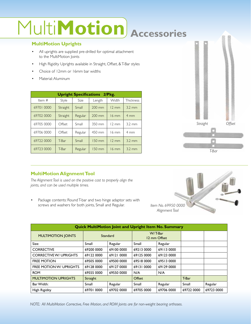## Multi**Motion Accessories**

## **MultiMotion Uprights**

- All uprights are supplied pre-drilled for optimal attachment to the MultiMotion Joints
- High Rigidity Uprights available in Straight, Offset, & T-Bar styles
- Choice of 12mm or 16mm bar widths
- Material: Aluminum

| <b>Upright Specifications 2/Pkg.</b> |          |             |                  |                 |                  |  |  |  |  |
|--------------------------------------|----------|-------------|------------------|-----------------|------------------|--|--|--|--|
| Item $#$                             | Style    | <b>Size</b> | Length           | Width           | Thickness        |  |  |  |  |
| 69701 0000                           | Straight | Small       | $200 \text{ mm}$ | $12 \text{ mm}$ | $3.2 \text{ mm}$ |  |  |  |  |
| 69702 0000                           | Straight | Regular     | $200 \text{ mm}$ | $16 \text{ mm}$ | 4 mm             |  |  |  |  |
| 69705 0000                           | Offset   | Small       | 350 mm           | $12 \text{ mm}$ | $3.2 \text{ mm}$ |  |  |  |  |
| 69706 0000                           | Offset   | Regular     | 450 mm           | $16 \text{ mm}$ | 4 mm             |  |  |  |  |
| 69722 0000                           | T-Bar    | Small       | 150 mm           | $12 \text{ mm}$ | $3.2 \text{ mm}$ |  |  |  |  |
| 69723 0000                           | T-Bar    | Regular     | 150 mm           | $16 \text{ mm}$ | $3.2 \text{ mm}$ |  |  |  |  |



## **MultiMotion Alignment Tool**

*The Alignment Tool is used on the positive cast to properly align the joints, and can be used multiple times.*

• Package contents: Round T-bar and two hinge adaptor sets with screws and washers for both joints, Small and Regular.



| <b>Quick MultiMotion Joint and Upright Item No. Summary</b> |            |            |            |                         |            |            |  |  |
|-------------------------------------------------------------|------------|------------|------------|-------------------------|------------|------------|--|--|
| <b>MULTIMOTION JOINTS</b>                                   |            | Standard   |            | W/T-Bar<br>12 mm Offset |            |            |  |  |
| Size:                                                       | Small      | Regular    | Small      | Regular                 |            |            |  |  |
| <b>CORRECTIVE</b>                                           | 69200 0000 | 69100 0000 | 69213 0000 | 69113 0000              |            |            |  |  |
| <b>CORRECTIVE W/ UPRIGHTS</b>                               | 69122 0000 | 69121 0000 | 69125 0000 | 69123 0000              |            |            |  |  |
| <b>FREE MOTION</b>                                          | 69505 0000 | 69500 0000 | 695180000  | 69513 0000              |            |            |  |  |
| <b>FREE MOTION W/ UPRIGHTS</b>                              | 69128 0000 | 69127 0000 | 69131 0000 | 69129 0000              |            |            |  |  |
| <b>ROM</b>                                                  | 69555 0000 | 69550 0000 | N/A        | N/A                     |            |            |  |  |
| <b>MULTIMOTION UPRIGHTS</b>                                 | Straight   |            | Offset     |                         | T-Bar      |            |  |  |
| Bar Width:                                                  | Small      | Regular    | Small      | Regular                 | Small      | Regular    |  |  |
| High Rigidity                                               | 69701 0000 | 69702 0000 | 69705 0000 | 69706 0000              | 69722 0000 | 69723 0000 |  |  |

*NOTE: All MultiMotion Corrective, Free Motion, and ROM Joints are for non-weight bearing orthoses.*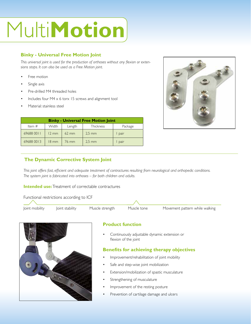## Multi**Motion**

## **Binky - Universal Free Motion Joint**

*This universal joint is used for the production of orthoses without any flexion or extensions stops. It can also be used as a Free Motion joint.*

- Free motion
- Single axis
- Pre-drilled M4 threaded holes
- Includes four  $MA \times 6$  tor $\times$  15 screws and alignment tool
- Material: stainless steel

| <b>Binky - Universal Free Motion Joint</b> |                 |                   |                  |         |  |  |  |  |  |
|--------------------------------------------|-----------------|-------------------|------------------|---------|--|--|--|--|--|
| Item #                                     | Width           | Length            | <b>Thickness</b> | Package |  |  |  |  |  |
| 69688 0011                                 | $12 \text{ mm}$ | $62 \, \text{mm}$ | $2.5 \text{ mm}$ | pair    |  |  |  |  |  |
| 69688 0013                                 | $18 \text{ mm}$ | 76 mm             | $2.5 \text{ mm}$ | pair    |  |  |  |  |  |



## **The Dynamic Corrective System Joint**

*This joint offers fast, efficient and adequate treatment of contractures resulting from neurological and orthopedic conditions. The system joint is fabricated into orthoses – for both children and adults.*

**Intended use:** Treatment of correctable contractures

| Functional restrictions according to ICF |                 |                 |             |                                |  |  |  |  |
|------------------------------------------|-----------------|-----------------|-------------|--------------------------------|--|--|--|--|
|                                          |                 |                 |             |                                |  |  |  |  |
| Joint mobility                           | loint stability | Muscle strength | Muscle tone | Movement pattern while walking |  |  |  |  |



### **Product function**

• Continuously adjustable dynamic extension or flexion of the joint

## **Benefits for achieving therapy objectives**

- Improvement/rehabilitation of joint mobility
- Safe and step-wise joint mobilization
- Extension/mobilization of spastic musculature
- Strengthening of musculature
- Improvement of the resting posture
- Prevention of cartilage damage and ulcers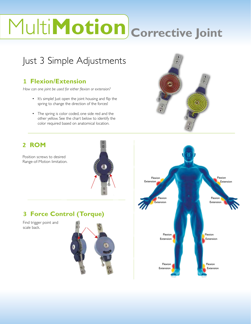# Multi**Motion Corrective Joint**

## Just 3 Simple Adjustments

## **1 Flexion/Extension**

*How can one joint be used for either flexion or extension?*

- It's simple! Just open the joint housing and flip the spring to change the direction of the forces!
- The spring is color coded, one side red and the other yellow. See the chart below to identify the color required based on anatomical location.

## **2 ROM**

Position screws to desired Range-of-Motion limitation.



## **3 Force Control (Torque)**

Find trigger point and scale back.





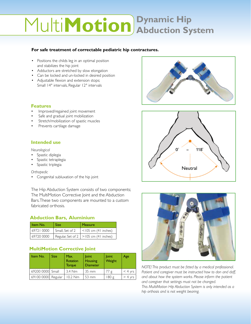## **Dynamic Hip**  Multi**Motion** Abduction System

#### **For safe treatment of correctable pediatric hip contractures.**

- Positions the childs leg in an optimal position and stabilizes the hip joint
- Adductors are stretched by slow elongation
- Can be locked and un-locked in desired position
- Adjustable flexion and extension stops; Small 14° intervals, Regular 12° intervals



### **Features**

- Improved/regained joint movement
- Safe and gradual joint mobilization
- Stretch/mobilization of spastic muscles
- Prevents cartilage damage

#### **Intended use**

*Neurological*

- Spastic diplegia
- Spastic tetraplegia
- Spastic triplegia

*Orthopedic*

• Congenital subluxation of the hip joint

The Hip Abduction System consists of two components; The MultiMotion Corrective Joint and the Abduction Bars. These two components are mounted to a custom fabricated orthosis.

### **Abduction Bars, Aluminium**

| Item No.   | Size <sup>1</sup> | Measure                                    |  |
|------------|-------------------|--------------------------------------------|--|
| 697210000  | Small, Set of 2   | $ $ <105 cm (41 inches)                    |  |
| 69720 0000 |                   | Regular, Set of $2$   > 105 cm (41 inches) |  |

### **MultiMotion Corrective Joint**

| Item No.           | <b>Size</b> | Max.<br>Rotation<br>Torque | <b>loint</b><br><b>Housing</b><br><b>Diameter</b> | <b>loint</b><br>Weight | Age       |
|--------------------|-------------|----------------------------|---------------------------------------------------|------------------------|-----------|
| 69200 0000 Small   |             | 3.4 Nm                     | 35 mm                                             | 77 g                   | $<$ 4 yrs |
| 69100 0000 Regular |             | $10.2$ Nm                  | 53 mm                                             | 180 g                  | $> 4$ yrs |





*NOTE! This product must be fitted by a medical professional. Patient and caregiver must be instructed how to don and doff, and about how the system works. Please inform the patient and caregiver that settings must not be changed. This MultiMotion Hip Abduction System is only intended as a hip orthosis and is not weight bearing.*